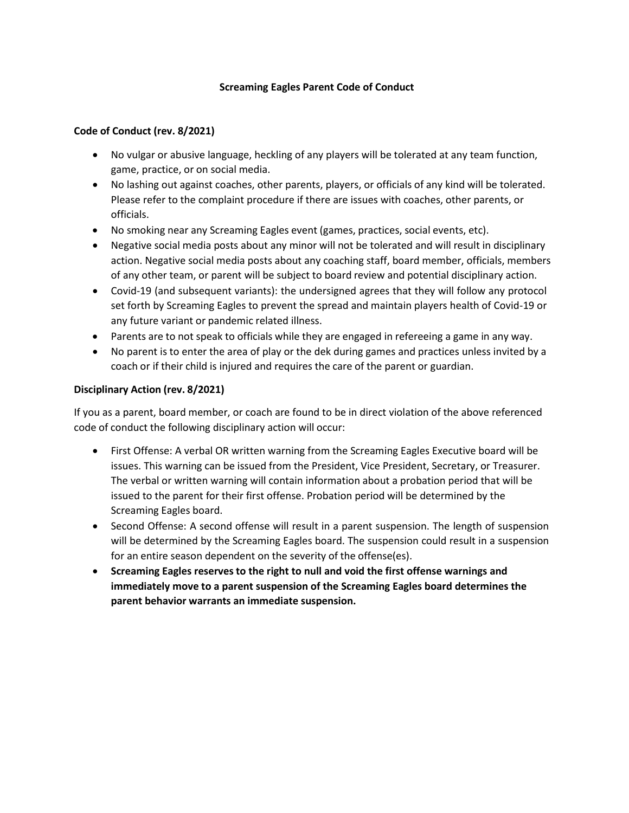## **Screaming Eagles Parent Code of Conduct**

### **Code of Conduct (rev. 8/2021)**

- No vulgar or abusive language, heckling of any players will be tolerated at any team function, game, practice, or on social media.
- No lashing out against coaches, other parents, players, or officials of any kind will be tolerated. Please refer to the complaint procedure if there are issues with coaches, other parents, or officials.
- No smoking near any Screaming Eagles event (games, practices, social events, etc).
- Negative social media posts about any minor will not be tolerated and will result in disciplinary action. Negative social media posts about any coaching staff, board member, officials, members of any other team, or parent will be subject to board review and potential disciplinary action.
- Covid-19 (and subsequent variants): the undersigned agrees that they will follow any protocol set forth by Screaming Eagles to prevent the spread and maintain players health of Covid-19 or any future variant or pandemic related illness.
- Parents are to not speak to officials while they are engaged in refereeing a game in any way.
- No parent is to enter the area of play or the dek during games and practices unless invited by a coach or if their child is injured and requires the care of the parent or guardian.

### **Disciplinary Action (rev. 8/2021)**

If you as a parent, board member, or coach are found to be in direct violation of the above referenced code of conduct the following disciplinary action will occur:

- First Offense: A verbal OR written warning from the Screaming Eagles Executive board will be issues. This warning can be issued from the President, Vice President, Secretary, or Treasurer. The verbal or written warning will contain information about a probation period that will be issued to the parent for their first offense. Probation period will be determined by the Screaming Eagles board.
- Second Offense: A second offense will result in a parent suspension. The length of suspension will be determined by the Screaming Eagles board. The suspension could result in a suspension for an entire season dependent on the severity of the offense(es).
- **Screaming Eagles reserves to the right to null and void the first offense warnings and immediately move to a parent suspension of the Screaming Eagles board determines the parent behavior warrants an immediate suspension.**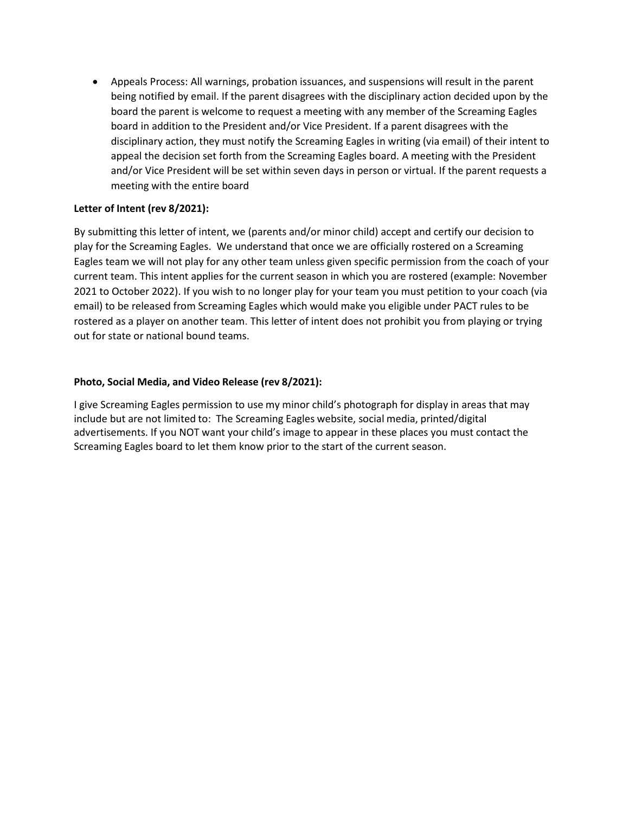• Appeals Process: All warnings, probation issuances, and suspensions will result in the parent being notified by email. If the parent disagrees with the disciplinary action decided upon by the board the parent is welcome to request a meeting with any member of the Screaming Eagles board in addition to the President and/or Vice President. If a parent disagrees with the disciplinary action, they must notify the Screaming Eagles in writing (via email) of their intent to appeal the decision set forth from the Screaming Eagles board. A meeting with the President and/or Vice President will be set within seven days in person or virtual. If the parent requests a meeting with the entire board

# **Letter of Intent (rev 8/2021):**

By submitting this letter of intent, we (parents and/or minor child) accept and certify our decision to play for the Screaming Eagles. We understand that once we are officially rostered on a Screaming Eagles team we will not play for any other team unless given specific permission from the coach of your current team. This intent applies for the current season in which you are rostered (example: November 2021 to October 2022). If you wish to no longer play for your team you must petition to your coach (via email) to be released from Screaming Eagles which would make you eligible under PACT rules to be rostered as a player on another team. This letter of intent does not prohibit you from playing or trying out for state or national bound teams.

### **Photo, Social Media, and Video Release (rev 8/2021):**

I give Screaming Eagles permission to use my minor child's photograph for display in areas that may include but are not limited to: The Screaming Eagles website, social media, printed/digital advertisements. If you NOT want your child's image to appear in these places you must contact the Screaming Eagles board to let them know prior to the start of the current season.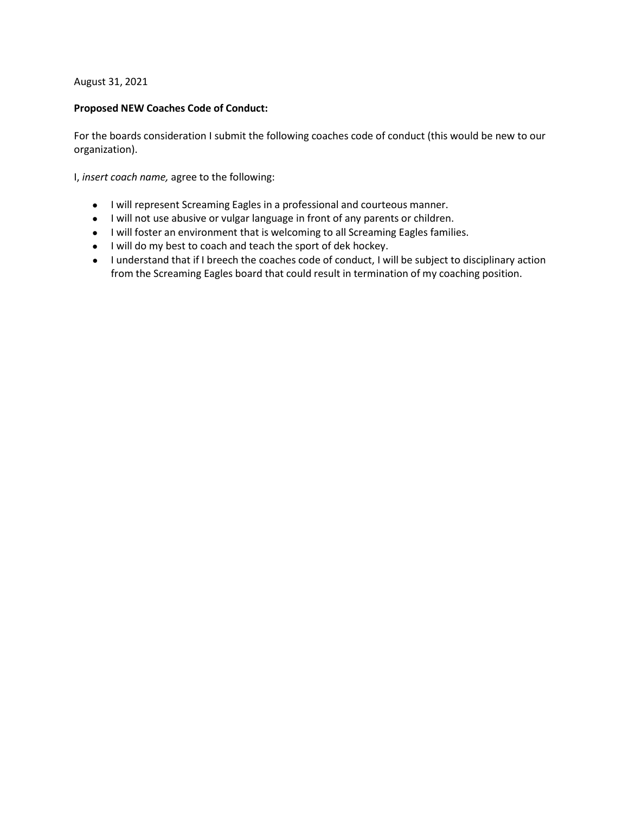### August 31, 2021

### **Proposed NEW Coaches Code of Conduct:**

For the boards consideration I submit the following coaches code of conduct (this would be new to our organization).

I, *insert coach name,* agree to the following:

- I will represent Screaming Eagles in a professional and courteous manner.
- I will not use abusive or vulgar language in front of any parents or children.
- I will foster an environment that is welcoming to all Screaming Eagles families.
- I will do my best to coach and teach the sport of dek hockey.
- I understand that if I breech the coaches code of conduct, I will be subject to disciplinary action from the Screaming Eagles board that could result in termination of my coaching position.